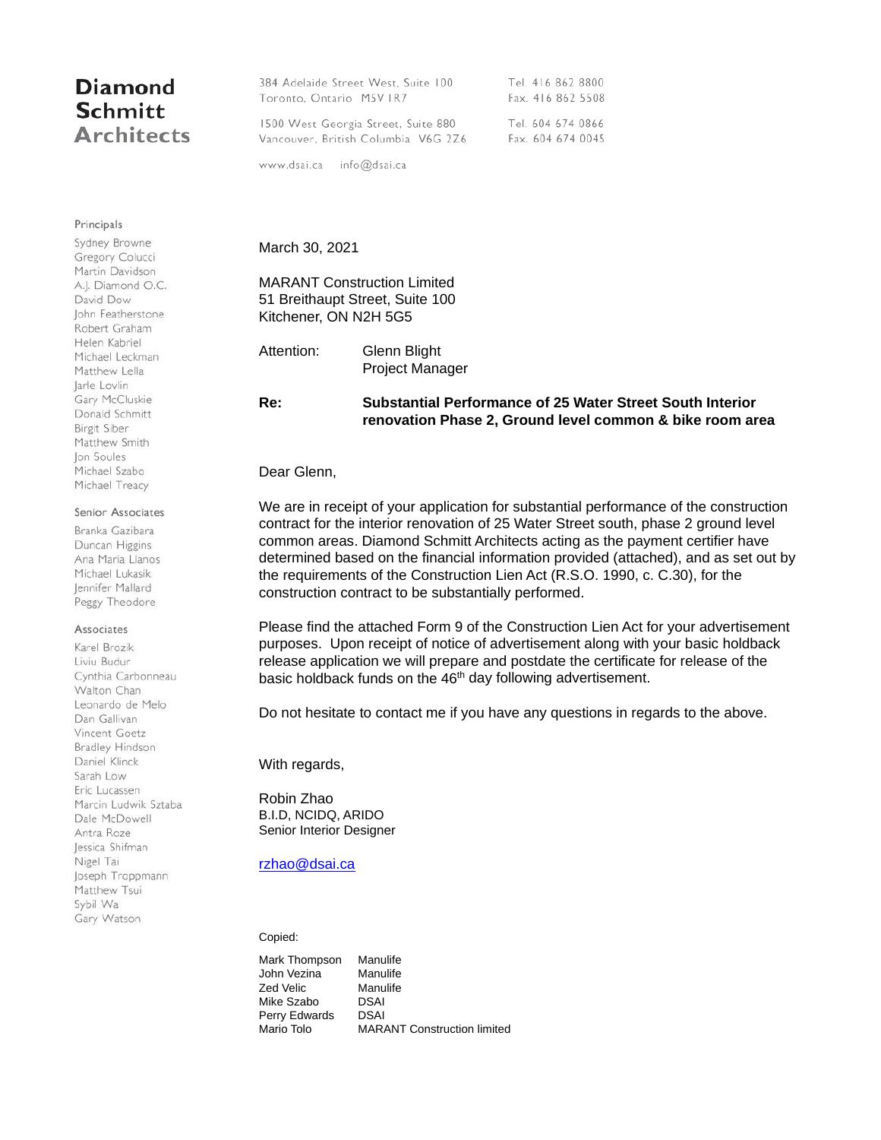# Diamond **Schmitt Architects**

384 Adelaide Street West, Suite 100 Tel. 416 862 8800 Fax. 416 862 5508 Toronto, Ontario M5V IR7 1500 West Georgia Street, Suite 880 Tel. 604 674 0866 Vancouver, British Columbia V6G 2Z6 Fax. 604 674 0045

www.dsai.ca info@dsai.ca

March 30, 2021

## MARANT Construction Limited 51 Breithaupt Street, Suite 100 Kitchener, ON N2H 5G5

Attention: Glenn Blight Project Manager

### **Re: Substantial Performance of 25 Water Street South Interior renovation Phase 2, Ground level common & bike room area**

Dear Glenn,

We are in receipt of your application for substantial performance of the construction contract for the interior renovation of 25 Water Street south, phase 2 ground level common areas. Diamond Schmitt Architects acting as the payment certifier have determined based on the financial information provided (attached), and as set out by the requirements of the Construction Lien Act (R.S.O. 1990, c. C.30), for the construction contract to be substantially performed.

Please find the attached Form 9 of the Construction Lien Act for your advertisement purposes. Upon receipt of notice of advertisement along with your basic holdback release application we will prepare and postdate the certificate for release of the basic holdback funds on the 46<sup>th</sup> day following advertisement.

Do not hesitate to contact me if you have any questions in regards to the above.

With regards,

Robin Zhao B.I.D, NCIDQ, ARIDO Senior Interior Designer

### [rzhao@dsai.ca](mailto:rzhao@dsai.ca)

#### Copied:

Mark Thompson Manulife John Vezina Zed Velic Mike Szabo Perry Edwards Mario Tolo Manulife Manulife DSAI DSAI MARANT Construction limited

Principals Sydney Browne Gregory Colucci Martin Davidson A.J. Diamond O.C. David Dow John Featherstone Robert Graham Helen Kabriel Michael Leckman Matthew Lella larle Lovlin Gary McCluskie Donald Schmitt Birgit Siber Matthew Smith Jon Soules Michael Szabo Michael Treacy

#### Senior Associates

Branka Gazibara Duncan Higgins Ana Maria Llanos Michael Lukasik Jennifer Mallard Peggy Theodore

#### Associates

Karel Brozik Liviu Budur Cynthia Carbonneau Walton Chan Leonardo de Melo Dan Gallivan Vincent Goetz Bradley Hindson Daniel Klinck Sarah Low Eric Lucassen Marcin Ludwik Sztaba Dale McDowell Antra Roze Jessica Shifman Nigel Tai Joseph Troppmann Matthew Tsui Sybil Wa Gary Watson